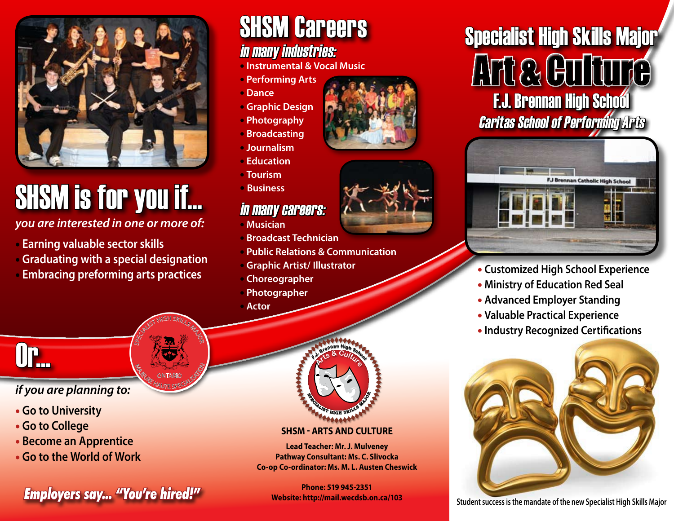

# SHSM is for you if...

*you are interested in one or more of:* 

- • **Earning valuable sector skills**
- • **Graduating with a special designation**
- • **Embracing preforming arts practices**

# SHSM Careers

### in many industries:

- **Instrumental & Vocal Music**
- **Performing Arts**
- **Dance**
- **Graphic Design**
- **Photography**
- **Broadcasting**
- **Journalism**
- **Education**
- **Tourism**
- **Business**

#### in many careers:

- **Musician**
- **Broadcast Technician**
- **Public Relations & Communication**
- **Graphic Artist/ Illustrator**
- **Choreographer**
- **Photographer**
- **Actor**



#### **SHSM - Arts and Culture**

**Lead Teacher: Mr. J. Mulveney Pathway Consultant: Ms. C. Slivocka Co-op Co-ordinator: Ms. M. L. Austen Cheswick**

**Phone: 519 945-2351 Website: http://mail.wecdsb.on.ca/103**

# Specialist High Skills Major Art & Culture **F.J. Brennan High School** Caritas School of Performing Arts



- **Customized High School Experience**
- **Ministry of Education Red Seal**
- **Advanced Employer Standing**
- **Valuable Practical Experience**
- **Industry Recognized Certifications**



# Or...

#### *if you are planning to:*

- • **Go to University**
- • **Go to College**
- • **Become an Apprentice**
- • **Go to the World of Work**

**Findle: 519 943-2551**<br>Student success is the mandate of the new Specialist High Skills Major





SPECIALIST HIGH SKILLS MAJOR **M<sub>AGE CONTARIO SP<sup>OR</sup>EGIAL**</sub> **ONTARIC**